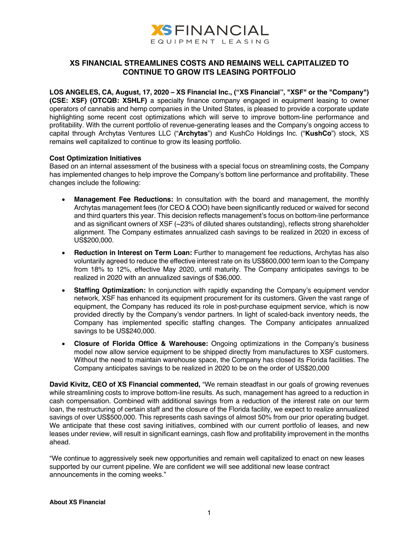

## **XS FINANCIAL STREAMLINES COSTS AND REMAINS WELL CAPITALIZED TO CONTINUE TO GROW ITS LEASING PORTFOLIO**

**LOS ANGELES, CA, August, 17, 2020 – XS Financial Inc., ("XS Financial", "XSF" or the "Company") (CSE: XSF) (OTCQB: XSHLF)** a specialty finance company engaged in equipment leasing to owner operators of cannabis and hemp companies in the United States, is pleased to provide a corporate update highlighting some recent cost optimizations which will serve to improve bottom-line performance and profitability. With the current portfolio of revenue-generating leases and the Company's ongoing access to capital through Archytas Ventures LLC ("**Archytas**") and KushCo Holdings Inc. ("**KushCo**") stock, XS remains well capitalized to continue to grow its leasing portfolio.

## **Cost Optimization Initiatives**

Based on an internal assessment of the business with a special focus on streamlining costs, the Company has implemented changes to help improve the Company's bottom line performance and profitability. These changes include the following:

- **Management Fee Reductions:** In consultation with the board and management, the monthly Archytas management fees (for CEO & COO) have been significantly reduced or waived for second and third quarters this year. This decision reflects management's focus on bottom-line performance and as significant owners of XSF (~23% of diluted shares outstanding), reflects strong shareholder alignment. The Company estimates annualized cash savings to be realized in 2020 in excess of US\$200,000.
- **Reduction in Interest on Term Loan:** Further to management fee reductions, Archytas has also voluntarily agreed to reduce the effective interest rate on its US\$600,000 term loan to the Company from 18% to 12%, effective May 2020, until maturity. The Company anticipates savings to be realized in 2020 with an annualized savings of \$36,000.
- **Staffing Optimization:** In conjunction with rapidly expanding the Company's equipment vendor network, XSF has enhanced its equipment procurement for its customers. Given the vast range of equipment, the Company has reduced its role in post-purchase equipment service, which is now provided directly by the Company's vendor partners. In light of scaled-back inventory needs, the Company has implemented specific staffing changes. The Company anticipates annualized savings to be US\$240,000.
- **Closure of Florida Office & Warehouse:** Ongoing optimizations in the Company's business model now allow service equipment to be shipped directly from manufactures to XSF customers. Without the need to maintain warehouse space, the Company has closed its Florida facilities. The Company anticipates savings to be realized in 2020 to be on the order of US\$20,000

**David Kivitz, CEO of XS Financial commented,** "We remain steadfast in our goals of growing revenues while streamlining costs to improve bottom-line results. As such, management has agreed to a reduction in cash compensation. Combined with additional savings from a reduction of the interest rate on our term loan, the restructuring of certain staff and the closure of the Florida facility, we expect to realize annualized savings of over US\$500,000. This represents cash savings of almost 50% from our prior operating budget. We anticipate that these cost saving initiatives, combined with our current portfolio of leases, and new leases under review, will result in significant earnings, cash flow and profitability improvement in the months ahead.

"We continue to aggressively seek new opportunities and remain well capitalized to enact on new leases supported by our current pipeline. We are confident we will see additional new lease contract announcements in the coming weeks."